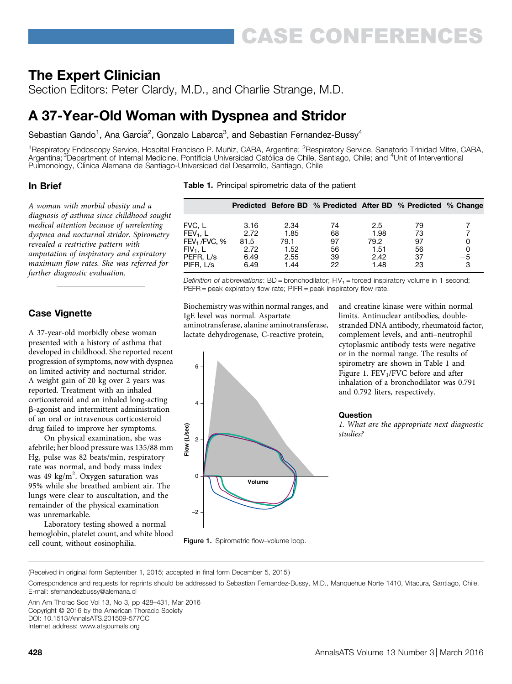# The Expert Clinician

Section Editors: Peter Clardy, M.D., and Charlie Strange, M.D.

# A 37-Year-Old Woman with Dyspnea and Stridor

Sebastian Gando<sup>1</sup>, Ana García<sup>2</sup>, Gonzalo Labarca<sup>3</sup>, and Sebastian Fernandez-Bussy<sup>4</sup>

<sup>1</sup>Respiratory Endoscopy Service, Hospital Francisco P. Muñiz, CABA, Argentina; <sup>2</sup>Respiratory Service, Sanatorio Trinidad Mitre, CABA, Argentina; <sup>3</sup>Department of Internal Medicine, Pontificia Universidad Católica de Chile, Santiago, Chile; and <sup>4</sup>Unit of Interventional Pulmonology, Clínica Alemana de Santiago-Universidad del Desarrollo, Santiago, Chile

## In Brief

A woman with morbid obesity and a diagnosis of asthma since childhood sought medical attention because of unrelenting dyspnea and nocturnal stridor. Spirometry revealed a restrictive pattern with amputation of inspiratory and expiratory maximum flow rates. She was referred for further diagnostic evaluation.

# Case Vignette

A 37-year-old morbidly obese woman presented with a history of asthma that developed in childhood. She reported recent progression of symptoms, now with dyspnea on limited activity and nocturnal stridor. A weight gain of 20 kg over 2 years was reported. Treatment with an inhaled corticosteroid and an inhaled long-acting b-agonist and intermittent administration of an oral or intravenous corticosteroid drug failed to improve her symptoms.

On physical examination, she was afebrile; her blood pressure was 135/88 mm Hg, pulse was 82 beats/min, respiratory rate was normal, and body mass index was 49 kg/m<sup>2</sup>. Oxygen saturation was 95% while she breathed ambient air. The lungs were clear to auscultation, and the remainder of the physical examination was unremarkable.

Laboratory testing showed a normal hemoglobin, platelet count, and white blood cell count, without eosinophilia.

|  |  | <b>Table 1.</b> Principal spirometric data of the patient |  |  |  |
|--|--|-----------------------------------------------------------|--|--|--|
|--|--|-----------------------------------------------------------|--|--|--|

|                                                                   |                              |                              | Predicted Before BD % Predicted After BD % Predicted % Change |                              |                       |           |
|-------------------------------------------------------------------|------------------------------|------------------------------|---------------------------------------------------------------|------------------------------|-----------------------|-----------|
| FVC, L<br>$FEV_1$ , L                                             | 3.16<br>2.72                 | 2.34<br>1.85                 | 74<br>68                                                      | 2.5<br>1.98                  | 79<br>73              |           |
| FEV <sub>1</sub> /FVC, %<br>$FIV_1$ , L<br>PEFR, L/s<br>PIFR. L/s | 81.5<br>2.72<br>6.49<br>6.49 | 79.1<br>1.52<br>2.55<br>1.44 | 97<br>56<br>39<br>22                                          | 79.2<br>1.51<br>2.42<br>1.48 | 97<br>56<br>-37<br>23 | $-5$<br>3 |

Definition of abbreviations:  $BD =$  bronchodilator;  $FIV<sub>1</sub> =$  forced inspiratory volume in 1 second; PEFR = peak expiratory flow rate; PIFR = peak inspiratory flow rate.

Biochemistry was within normal ranges, and IgE level was normal. Aspartate aminotransferase, alanine aminotransferase, lactate dehydrogenase, C-reactive protein,

and creatine kinase were within normal limits. Antinuclear antibodies, doublestranded DNA antibody, rheumatoid factor, complement levels, and anti–neutrophil cytoplasmic antibody tests were negative or in the normal range. The results of spirometry are shown in Table 1 and Figure 1.  $FEV<sub>1</sub>/FVC$  before and after inhalation of a bronchodilator was 0.791 and 0.792 liters, respectively.

### Question

1. What are the appropriate next diagnostic studies?

Figure 1. Spirometric flow-volume loop.

**Volume** 

(Received in original form September 1, 2015; accepted in final form December 5, 2015 )

–2

 $\Omega$ 

 $\mathfrak{p}$ **Flow (L/sec)**

(L/sec) Flow

4

6

Ann Am Thorac Soc Vol 13, No 3, pp 428–431, Mar 2016 Copyright © 2016 by the American Thoracic Society DOI: [10.1513/AnnalsATS.201509-577CC](http://10.1513/AnnalsATS.201509-577CC) Internet address: [www.atsjournals.org](http://www.atsjournals.org)

Correspondence and requests for reprints should be addressed to Sebastian Fernandez-Bussy, M.D., Manquehue Norte 1410, Vitacura, Santiago, Chile. E-mail: [sfernandezbussy@alemana.cl](mailto:sfernandezbussy@alemana.cl)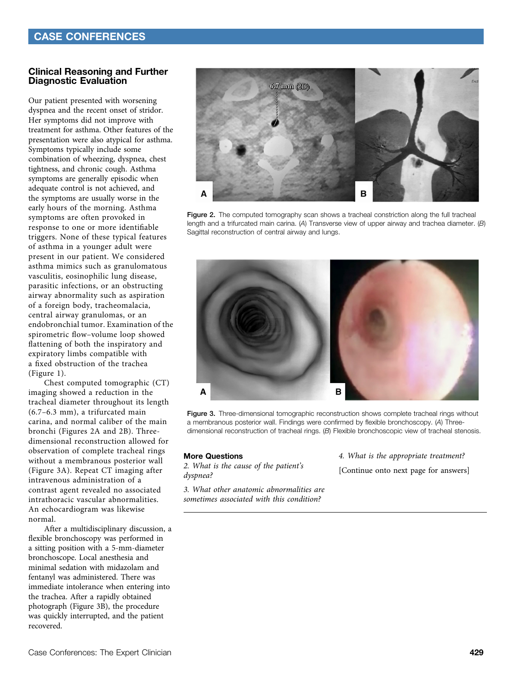### Clinical Reasoning and Further Diagnostic Evaluation

Our patient presented with worsening dyspnea and the recent onset of stridor. Her symptoms did not improve with treatment for asthma. Other features of the presentation were also atypical for asthma. Symptoms typically include some combination of wheezing, dyspnea, chest tightness, and chronic cough. Asthma symptoms are generally episodic when adequate control is not achieved, and the symptoms are usually worse in the early hours of the morning. Asthma symptoms are often provoked in response to one or more identifiable triggers. None of these typical features of asthma in a younger adult were present in our patient. We considered asthma mimics such as granulomatous vasculitis, eosinophilic lung disease, parasitic infections, or an obstructing airway abnormality such as aspiration of a foreign body, tracheomalacia, central airway granulomas, or an endobronchial tumor. Examination of the spirometric flow–volume loop showed flattening of both the inspiratory and expiratory limbs compatible with a fixed obstruction of the trachea (Figure 1).

Chest computed tomographic (CT) imaging showed a reduction in the tracheal diameter throughout its length (6.7–6.3 mm), a trifurcated main carina, and normal caliber of the main bronchi (Figures 2A and 2B). Threedimensional reconstruction allowed for observation of complete tracheal rings without a membranous posterior wall (Figure 3A). Repeat CT imaging after intravenous administration of a contrast agent revealed no associated intrathoracic vascular abnormalities. An echocardiogram was likewise normal.

After a multidisciplinary discussion, a flexible bronchoscopy was performed in a sitting position with a 5-mm-diameter bronchoscope. Local anesthesia and minimal sedation with midazolam and fentanyl was administered. There was immediate intolerance when entering into the trachea. After a rapidly obtained photograph (Figure 3B), the procedure was quickly interrupted, and the patient recovered.



Figure 2. The computed tomography scan shows a tracheal constriction along the full tracheal length and a trifurcated main carina. (A) Transverse view of upper airway and trachea diameter.  $(B)$ Sagittal reconstruction of central airway and lungs.



Figure 3. Three-dimensional tomographic reconstruction shows complete tracheal rings without a membranous posterior wall. Findings were confirmed by flexible bronchoscopy. (A) Threedimensional reconstruction of tracheal rings. (B) Flexible bronchoscopic view of tracheal stenosis.

#### More Questions

2. What is the cause of the patient's dyspnea?

3. What other anatomic abnormalities are sometimes associated with this condition?

4. What is the appropriate treatment? [Continue onto next page for answers]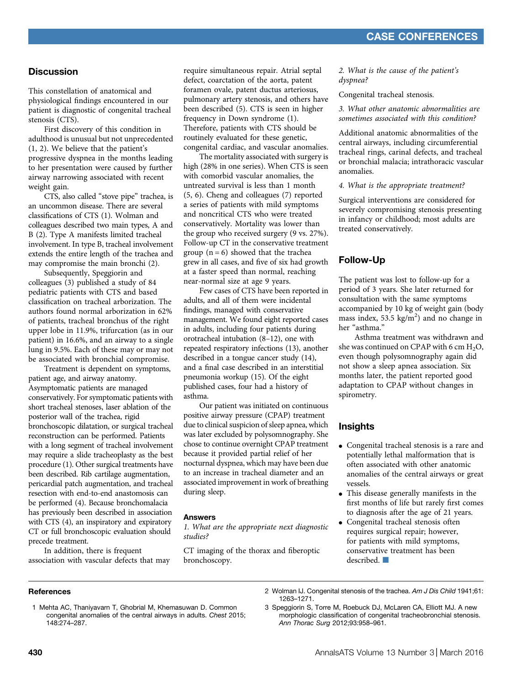## **Discussion**

This constellation of anatomical and physiological findings encountered in our patient is diagnostic of congenital tracheal stenosis (CTS).

First discovery of this condition in adulthood is unusual but not unprecedented (1, 2). We believe that the patient's progressive dyspnea in the months leading to her presentation were caused by further airway narrowing associated with recent weight gain.

CTS, also called "stove pipe" trachea, is an uncommon disease. There are several classifications of CTS (1). Wolman and colleagues described two main types, A and B (2). Type A manifests limited tracheal involvement. In type B, tracheal involvement extends the entire length of the trachea and may compromise the main bronchi (2).

Subsequently, Speggiorin and colleagues (3) published a study of 84 pediatric patients with CTS and based classification on tracheal arborization. The authors found normal arborization in 62% of patients, tracheal bronchus of the right upper lobe in 11.9%, trifurcation (as in our patient) in 16.6%, and an airway to a single lung in 9.5%. Each of these may or may not be associated with bronchial compromise.

Treatment is dependent on symptoms, patient age, and airway anatomy. Asymptomatic patients are managed conservatively. For symptomatic patients with short tracheal stenoses, laser ablation of the posterior wall of the trachea, rigid bronchoscopic dilatation, or surgical tracheal reconstruction can be performed. Patients with a long segment of tracheal involvement may require a slide tracheoplasty as the best procedure (1). Other surgical treatments have been described. Rib cartilage augmentation, pericardial patch augmentation, and tracheal resection with end-to-end anastomosis can be performed (4). Because bronchomalacia has previously been described in association with CTS (4), an inspiratory and expiratory CT or full bronchoscopic evaluation should precede treatment.

In addition, there is frequent association with vascular defects that may require simultaneous repair. Atrial septal defect, coarctation of the aorta, patent foramen ovale, patent ductus arteriosus, pulmonary artery stenosis, and others have been described (5). CTS is seen in higher frequency in Down syndrome (1). Therefore, patients with CTS should be routinely evaluated for these genetic, congenital cardiac, and vascular anomalies.

The mortality associated with surgery is high (28% in one series). When CTS is seen with comorbid vascular anomalies, the untreated survival is less than 1 month (5, 6). Cheng and colleagues (7) reported a series of patients with mild symptoms and noncritical CTS who were treated conservatively. Mortality was lower than the group who received surgery (9 vs. 27%). Follow-up CT in the conservative treatment group  $(n = 6)$  showed that the trachea grew in all cases, and five of six had growth at a faster speed than normal, reaching near-normal size at age 9 years.

Few cases of CTS have been reported in adults, and all of them were incidental findings, managed with conservative management. We found eight reported cases in adults, including four patients during orotracheal intubation (8–12), one with repeated respiratory infections (13), another described in a tongue cancer study (14), and a final case described in an interstitial pneumonia workup (15). Of the eight published cases, four had a history of asthma.

Our patient was initiated on continuous positive airway pressure (CPAP) treatment due to clinical suspicion of sleep apnea, which was later excluded by polysomnography. She chose to continue overnight CPAP treatment because it provided partial relief of her nocturnal dyspnea, which may have been due to an increase in tracheal diameter and an associated improvement in work of breathing during sleep.

#### Answers

1. What are the appropriate next diagnostic studies?

CT imaging of the thorax and fiberoptic bronchoscopy.

2. What is the cause of the patient's dyspnea?

Congenital tracheal stenosis.

3. What other anatomic abnormalities are sometimes associated with this condition?

Additional anatomic abnormalities of the central airways, including circumferential tracheal rings, carinal defects, and tracheal or bronchial malacia; intrathoracic vascular anomalies.

4. What is the appropriate treatment?

Surgical interventions are considered for severely compromising stenosis presenting in infancy or childhood; most adults are treated conservatively.

## Follow-Up

The patient was lost to follow-up for a period of 3 years. She later returned for consultation with the same symptoms accompanied by 10 kg of weight gain (body mass index, 53.5  $\text{kg/m}^2$ ) and no change in her "asthma."

Asthma treatment was withdrawn and she was continued on CPAP with 6 cm  $H_2O$ , even though polysomnography again did not show a sleep apnea association. Six months later, the patient reported good adaptation to CPAP without changes in spirometry.

## **Insights**

- Congenital tracheal stenosis is a rare and potentially lethal malformation that is often associated with other anatomic anomalies of the central airways or great vessels.
- This disease generally manifests in the first months of life but rarely first comes to diagnosis after the age of 21 years.
- Congenital tracheal stenosis often requires surgical repair; however, for patients with mild symptoms, conservative treatment has been described.  $\Box$

#### **References**

1 Mehta AC, Thaniyavarn T, Ghobrial M, Khemasuwan D. Common congenital anomalies of the central airways in adults. Chest 2015; 148:274–287.

2 Wolman IJ. Congenital stenosis of the trachea. Am J Dis Child 1941;61: 1263–1271.

3 Speggiorin S, Torre M, Roebuck DJ, McLaren CA, Elliott MJ. A new morphologic classification of congenital tracheobronchial stenosis. Ann Thorac Surg 2012;93:958–961.